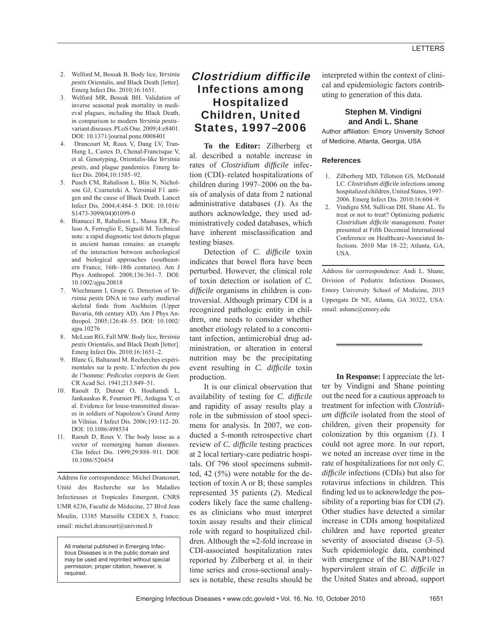- 2. Welford M, Bossak B. Body lice, *Yersinia pestis* Orientalis, and Black Death [letter]. Emerg Infect Dis. 2010;16:1651.
- 3. Welford MR, Bossak BH. Validation of inverse seasonal peak mortality in medieval plagues, including the Black Death, in comparison to modern *Yersinia pestis*– variant diseases. PLoS One. 2009;4:e8401. DOI: 10.1371/journal.pone.0008401
- 4. Drancourt M, Roux V, Dang LV, Tran-Hung L, Castex D, Chenal-Francisque V, et al. Genotyping, Orientalis-like *Yersinia pestis*, and plague pandemics. Emerg Infect Dis. 2004;10:1585–92.
- 5. Pusch CM, Rahalison L, Blin N, Nicholson GJ, Czarnetzki A. Yersinial F1 antigen and the cause of Black Death. Lancet Infect Dis. 2004;4:484–5. DOI: 10.1016/ S1473-3099(04)01099-0
- 6. Bianucci R, Rahalison L, Massa ER, Peluso A, Ferroglio E, Signoli M. Technical note: a rapid diagnostic test detects plague in ancient human remains: an example of the interaction between archeological and biological approaches (southeastern France, 16th–18th centuries). Am J Phys Anthropol. 2008;136:361–7. DOI: 10.1002/ajpa.20818
- 7. Wiechmann I, Grupe G. Detection of *Yersinia pestis* DNA in two early medieval skeletal finds from Aschheim (Upper Bavaria, 6th century AD). Am J Phys Anthropol. 2005;126:48–55. DOI: 10.1002/ ajpa.10276
- 8. McLean RG, Fall MW. Body lice, *Yersinia pestis* Orientalis, and Black Death [letter]. Emerg Infect Dis. 2010;16:1651–2.
- 9. Blanc G, Baltazard M. Recherches expérimentales sur la peste. L'infection du pou de l'homme: *Pediculus corporis* de Geer. CR Acad Sci. 1941;213:849–51.
- 10. Raoult D, Dutour O, Houhamdi L, Jankauskas R, Fournier PE, Ardagna Y, et al. Evidence for louse-transmitted diseases in soldiers of Napoleon's Grand Army in Vilnius. J Infect Dis. 2006;193:112–20. DOI: 10.1086/498534
- 11. Raoult D, Roux V. The body louse as a vector of reemerging human diseases. Clin Infect Dis. 1999;29:888–911. DOI: 10.1086/520454

Address for correspondence: Michel Drancourt, Unité des Recherche sur les Maladies Infectieuses et Tropicales Emergent, CNRS UMR 6236, Faculté de Médecine, 27 Blvd Jean Moulin, 13385 Marseille CEDEX 5, France; email: michel.drancourt@univmed.fr

All material published in Emerging Infectious Diseases is in the public domain and may be used and reprinted without special permission; proper citation, however, is required.

# Clostridium difficile Infections among Hospitalized Children, United States, 1997–2006

**To the Editor:** Zilberberg et al. described a notable increase in rates of *Clostridium* difficile infection (CDI)–related hospitalizations of children during 1997–2006 on the basis of analysis of data from 2 national administrative databases (*1*). As the authors acknowledge, they used administratively coded databases, which have inherent misclassification and testing biases.

Detection of *C. difficile* toxin indicates that bowel flora have been perturbed. However, the clinical role of toxin detection or isolation of *C. difficile* organisms in children is controversial. Although primary CDI is a recognized pathologic entity in children, one needs to consider whether another etiology related to a concomitant infection, antimicrobial drug administration, or alteration in enteral nutrition may be the precipitating event resulting in *C. difficile* toxin production.

It is our clinical observation that availability of testing for *C. difficile* and rapidity of assay results play a role in the submission of stool specimens for analysis. In 2007, we conducted a 5-month retrospective chart review of *C. difficile* testing practices at 2 local tertiary-care pediatric hospitals. Of 796 stool specimens submitted, 42 (5%) were notable for the detection of toxin A or B; these samples represented 35 patients (*2*). Medical coders likely face the same challenges as clinicians who must interpret toxin assay results and their clinical role with regard to hospitalized children. Although the ≈2-fold increase in CDI-associated hospitalization rates reported by Zilberberg et al. in their time series and cross-sectional analyses is notable, these results should be interpreted within the context of clinical and epidemiologic factors contributing to generation of this data.

## **Stephen M. Vindigni and Andi L. Shane**

Author affiliation: Emory University School of Medicine, Atlanta, Georgia, USA

### **References**

- 1. Zilberberg MD, Tillotson GS, McDonald LC. *Clostridium difficile* infections among hospitalized children, United States, 1997– 2006. Emerg Infect Dis. 2010;16:604–9.
- 2. Vindigni SM, Sullivan DH, Shane AL. To treat or not to treat? Optimizing pediatric *Clostridium difficile* management. Poster presented at Fifth Decennial International Conference on Healthcare-Associated Infections. 2010 Mar 18–22; Atlanta, GA, USA.

Address for corrrespondence: Andi L. Shane, Division of Pediatric Infectious Diseases, Emory University School of Medicine, 2015 Uppergate Dr NE, Atlanta, GA 30322, USA: email: ashane@emory.edu

**In Response:** I appreciate the letter by Vindigni and Shane pointing out the need for a cautious approach to treatment for infection with *Clostridium difficile* isolated from the stool of children, given their propensity for colonization by this organism (*1*). I could not agree more. In our report, we noted an increase over time in the rate of hospitalizations for not only *C*. *diffi cile* infections (CDIs) but also for rotavirus infections in children. This finding led us to acknowledge the possibility of a reporting bias for CDI (*2*). Other studies have detected a similar increase in CDIs among hospitalized children and have reported greater severity of associated disease (*3*–*5*). Such epidemiologic data, combined with emergence of the BI/NAP1/027 hypervirulent strain of *C*. *difficile* in the United States and abroad, support